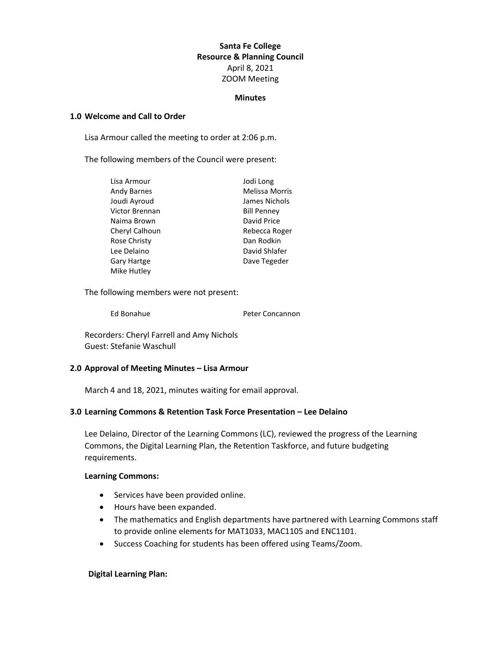# **Santa Fe College Resource & Planning Council** April 8, 2021 ZOOM Meeting

#### **Minutes**

#### **1.0 Welcome and Call to Order**

Lisa Armour called the meeting to order at 2:06 p.m.

The following members of the Council were present:

| Lisa Armour        | Jodi Long             |
|--------------------|-----------------------|
| Andy Barnes        | <b>Melissa Morris</b> |
| Joudi Ayroud       | James Nichols         |
| Victor Brennan     | <b>Bill Penney</b>    |
| Naima Brown        | David Price           |
| Cheryl Calhoun     | Rebecca Roger         |
| Rose Christy       | Dan Rodkin            |
| Lee Delaino        | David Shlafer         |
| <b>Gary Hartge</b> | Dave Tegeder          |
| Mike Hutley        |                       |

The following members were not present:

Ed Bonahue **Peter Concannon** 

Recorders: Cheryl Farrell and Amy Nichols Guest: Stefanie Waschull

## **2.0 Approval of Meeting Minutes – Lisa Armour**

March 4 and 18, 2021, minutes waiting for email approval.

## **3.0 Learning Commons & Retention Task Force Presentation – Lee Delaino**

Lee Delaino, Director of the Learning Commons (LC), reviewed the progress of the Learning Commons, the Digital Learning Plan, the Retention Taskforce, and future budgeting requirements.

#### **Learning Commons:**

- Services have been provided online.
- Hours have been expanded.
- The mathematics and English departments have partnered with Learning Commons staff to provide online elements for MAT1033, MAC1105 and ENC1101.
- Success Coaching for students has been offered using Teams/Zoom.

## **Digital Learning Plan:**